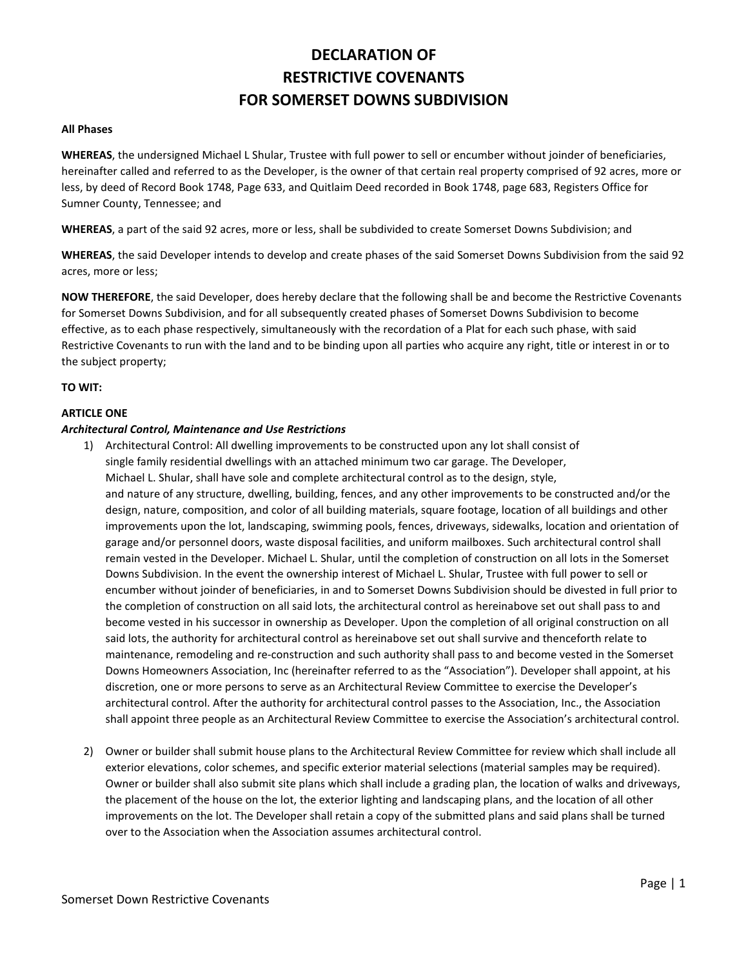# **DECLARATION OF RESTRICTIVE COVENANTS FOR SOMERSET DOWNS SUBDIVISION**

### **All Phases**

**WHEREAS**, the undersigned Michael L Shular, Trustee with full power to sell or encumber without joinder of beneficiaries, hereinafter called and referred to as the Developer, is the owner of that certain real property comprised of 92 acres, more or less, by deed of Record Book 1748, Page 633, and Quitlaim Deed recorded in Book 1748, page 683, Registers Office for Sumner County, Tennessee; and

**WHEREAS**, a part of the said 92 acres, more or less, shall be subdivided to create Somerset Downs Subdivision; and

**WHEREAS**, the said Developer intends to develop and create phases of the said Somerset Downs Subdivision from the said 92 acres, more or less;

**NOW THEREFORE**, the said Developer, does hereby declare that the following shall be and become the Restrictive Covenants for Somerset Downs Subdivision, and for all subsequently created phases of Somerset Downs Subdivision to become effective, as to each phase respectively, simultaneously with the recordation of a Plat for each such phase, with said Restrictive Covenants to run with the land and to be binding upon all parties who acquire any right, title or interest in or to the subject property;

### **TO WIT:**

### **ARTICLE ONE**

### *Architectural Control, Maintenance and Use Restrictions*

- 1) Architectural Control: All dwelling improvements to be constructed upon any lot shall consist of single family residential dwellings with an attached minimum two car garage. The Developer, Michael L. Shular, shall have sole and complete architectural control as to the design, style, and nature of any structure, dwelling, building, fences, and any other improvements to be constructed and/or the design, nature, composition, and color of all building materials, square footage, location of all buildings and other improvements upon the lot, landscaping, swimming pools, fences, driveways, sidewalks, location and orientation of garage and/or personnel doors, waste disposal facilities, and uniform mailboxes. Such architectural control shall remain vested in the Developer. Michael L. Shular, until the completion of construction on all lots in the Somerset Downs Subdivision. In the event the ownership interest of Michael L. Shular, Trustee with full power to sell or encumber without joinder of beneficiaries, in and to Somerset Downs Subdivision should be divested in full prior to the completion of construction on all said lots, the architectural control as hereinabove set out shall pass to and become vested in his successor in ownership as Developer. Upon the completion of all original construction on all said lots, the authority for architectural control as hereinabove set out shall survive and thenceforth relate to maintenance, remodeling and re-construction and such authority shall pass to and become vested in the Somerset Downs Homeowners Association, Inc (hereinafter referred to as the "Association"). Developer shall appoint, at his discretion, one or more persons to serve as an Architectural Review Committee to exercise the Developer's architectural control. After the authority for architectural control passes to the Association, Inc., the Association shall appoint three people as an Architectural Review Committee to exercise the Association's architectural control.
- 2) Owner or builder shall submit house plans to the Architectural Review Committee for review which shall include all exterior elevations, color schemes, and specific exterior material selections (material samples may be required). Owner or builder shall also submit site plans which shall include a grading plan, the location of walks and driveways, the placement of the house on the lot, the exterior lighting and landscaping plans, and the location of all other improvements on the lot. The Developer shall retain a copy of the submitted plans and said plans shall be turned over to the Association when the Association assumes architectural control.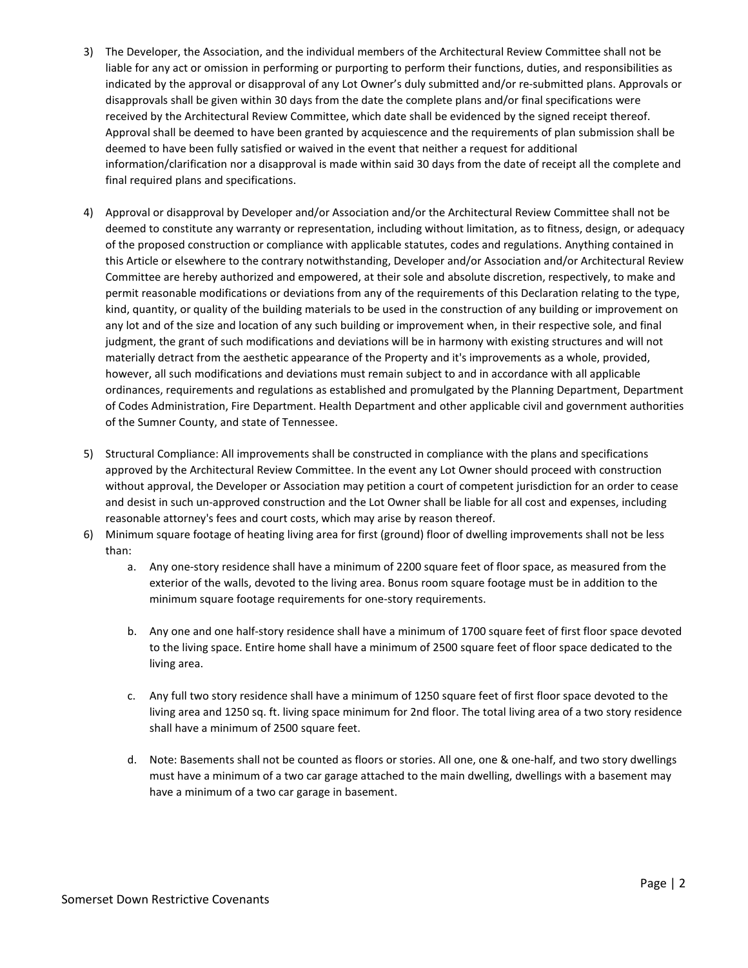- 3) The Developer, the Association, and the individual members of the Architectural Review Committee shall not be liable for any act or omission in performing or purporting to perform their functions, duties, and responsibilities as indicated by the approval or disapproval of any Lot Owner's duly submitted and/or re-submitted plans. Approvals or disapprovals shall be given within 30 days from the date the complete plans and/or final specifications were received by the Architectural Review Committee, which date shall be evidenced by the signed receipt thereof. Approval shall be deemed to have been granted by acquiescence and the requirements of plan submission shall be deemed to have been fully satisfied or waived in the event that neither a request for additional information/clarification nor a disapproval is made within said 30 days from the date of receipt all the complete and final required plans and specifications.
- 4) Approval or disapproval by Developer and/or Association and/or the Architectural Review Committee shall not be deemed to constitute any warranty or representation, including without limitation, as to fitness, design, or adequacy of the proposed construction or compliance with applicable statutes, codes and regulations. Anything contained in this Article or elsewhere to the contrary notwithstanding, Developer and/or Association and/or Architectural Review Committee are hereby authorized and empowered, at their sole and absolute discretion, respectively, to make and permit reasonable modifications or deviations from any of the requirements of this Declaration relating to the type, kind, quantity, or quality of the building materials to be used in the construction of any building or improvement on any lot and of the size and location of any such building or improvement when, in their respective sole, and final judgment, the grant of such modifications and deviations will be in harmony with existing structures and will not materially detract from the aesthetic appearance of the Property and it's improvements as a whole, provided, however, all such modifications and deviations must remain subject to and in accordance with all applicable ordinances, requirements and regulations as established and promulgated by the Planning Department, Department of Codes Administration, Fire Department. Health Department and other applicable civil and government authorities of the Sumner County, and state of Tennessee.
- 5) Structural Compliance: All improvements shall be constructed in compliance with the plans and specifications approved by the Architectural Review Committee. In the event any Lot Owner should proceed with construction without approval, the Developer or Association may petition a court of competent jurisdiction for an order to cease and desist in such un-approved construction and the Lot Owner shall be liable for all cost and expenses, including reasonable attorney's fees and court costs, which may arise by reason thereof.
- 6) Minimum square footage of heating living area for first (ground) floor of dwelling improvements shall not be less than:
	- a. Any one-story residence shall have a minimum of 2200 square feet of floor space, as measured from the exterior of the walls, devoted to the living area. Bonus room square footage must be in addition to the minimum square footage requirements for one-story requirements.
	- b. Any one and one half-story residence shall have a minimum of 1700 square feet of first floor space devoted to the living space. Entire home shall have a minimum of 2500 square feet of floor space dedicated to the living area.
	- c. Any full two story residence shall have a minimum of 1250 square feet of first floor space devoted to the living area and 1250 sq. ft. living space minimum for 2nd floor. The total living area of a two story residence shall have a minimum of 2500 square feet.
	- d. Note: Basements shall not be counted as floors or stories. All one, one & one-half, and two story dwellings must have a minimum of a two car garage attached to the main dwelling, dwellings with a basement may have a minimum of a two car garage in basement.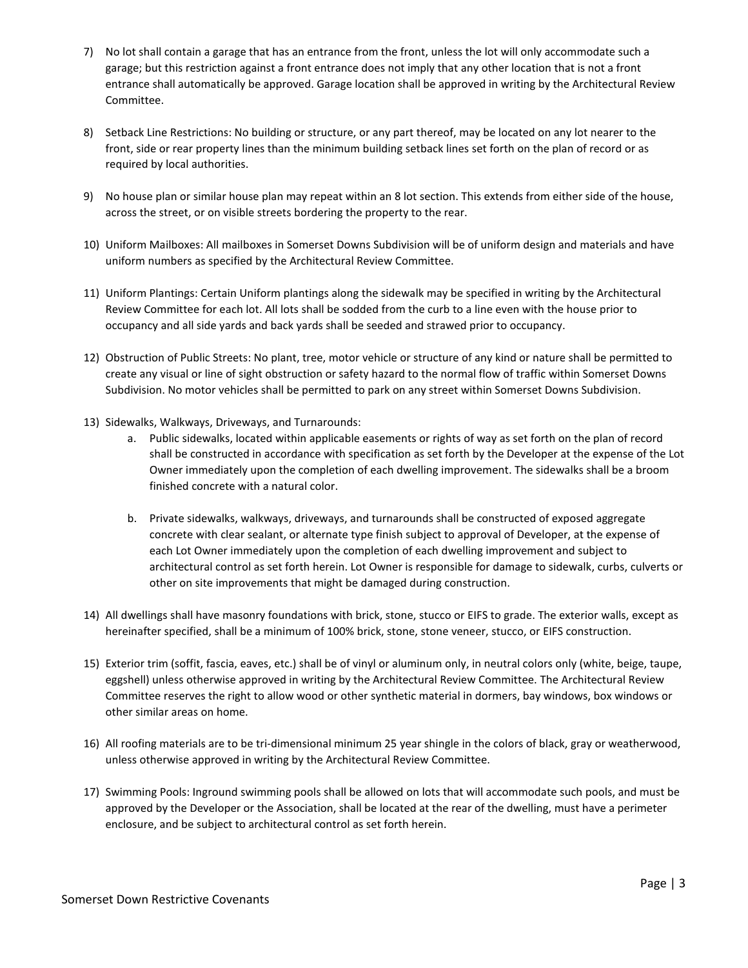- 7) No lot shall contain a garage that has an entrance from the front, unless the lot will only accommodate such a garage; but this restriction against a front entrance does not imply that any other location that is not a front entrance shall automatically be approved. Garage location shall be approved in writing by the Architectural Review Committee.
- 8) Setback Line Restrictions: No building or structure, or any part thereof, may be located on any lot nearer to the front, side or rear property lines than the minimum building setback lines set forth on the plan of record or as required by local authorities.
- 9) No house plan or similar house plan may repeat within an 8 lot section. This extends from either side of the house, across the street, or on visible streets bordering the property to the rear.
- 10) Uniform Mailboxes: All mailboxes in Somerset Downs Subdivision will be of uniform design and materials and have uniform numbers as specified by the Architectural Review Committee.
- 11) Uniform Plantings: Certain Uniform plantings along the sidewalk may be specified in writing by the Architectural Review Committee for each lot. All lots shall be sodded from the curb to a line even with the house prior to occupancy and all side yards and back yards shall be seeded and strawed prior to occupancy.
- 12) Obstruction of Public Streets: No plant, tree, motor vehicle or structure of any kind or nature shall be permitted to create any visual or line of sight obstruction or safety hazard to the normal flow of traffic within Somerset Downs Subdivision. No motor vehicles shall be permitted to park on any street within Somerset Downs Subdivision.
- 13) Sidewalks, Walkways, Driveways, and Turnarounds:
	- a. Public sidewalks, located within applicable easements or rights of way as set forth on the plan of record shall be constructed in accordance with specification as set forth by the Developer at the expense of the Lot Owner immediately upon the completion of each dwelling improvement. The sidewalks shall be a broom finished concrete with a natural color.
	- b. Private sidewalks, walkways, driveways, and turnarounds shall be constructed of exposed aggregate concrete with clear sealant, or alternate type finish subject to approval of Developer, at the expense of each Lot Owner immediately upon the completion of each dwelling improvement and subject to architectural control as set forth herein. Lot Owner is responsible for damage to sidewalk, curbs, culverts or other on site improvements that might be damaged during construction.
- 14) All dwellings shall have masonry foundations with brick, stone, stucco or EIFS to grade. The exterior walls, except as hereinafter specified, shall be a minimum of 100% brick, stone, stone veneer, stucco, or EIFS construction.
- 15) Exterior trim (soffit, fascia, eaves, etc.) shall be of vinyl or aluminum only, in neutral colors only (white, beige, taupe, eggshell) unless otherwise approved in writing by the Architectural Review Committee. The Architectural Review Committee reserves the right to allow wood or other synthetic material in dormers, bay windows, box windows or other similar areas on home.
- 16) All roofing materials are to be tri-dimensional minimum 25 year shingle in the colors of black, gray or weatherwood, unless otherwise approved in writing by the Architectural Review Committee.
- 17) Swimming Pools: Inground swimming pools shall be allowed on lots that will accommodate such pools, and must be approved by the Developer or the Association, shall be located at the rear of the dwelling, must have a perimeter enclosure, and be subject to architectural control as set forth herein.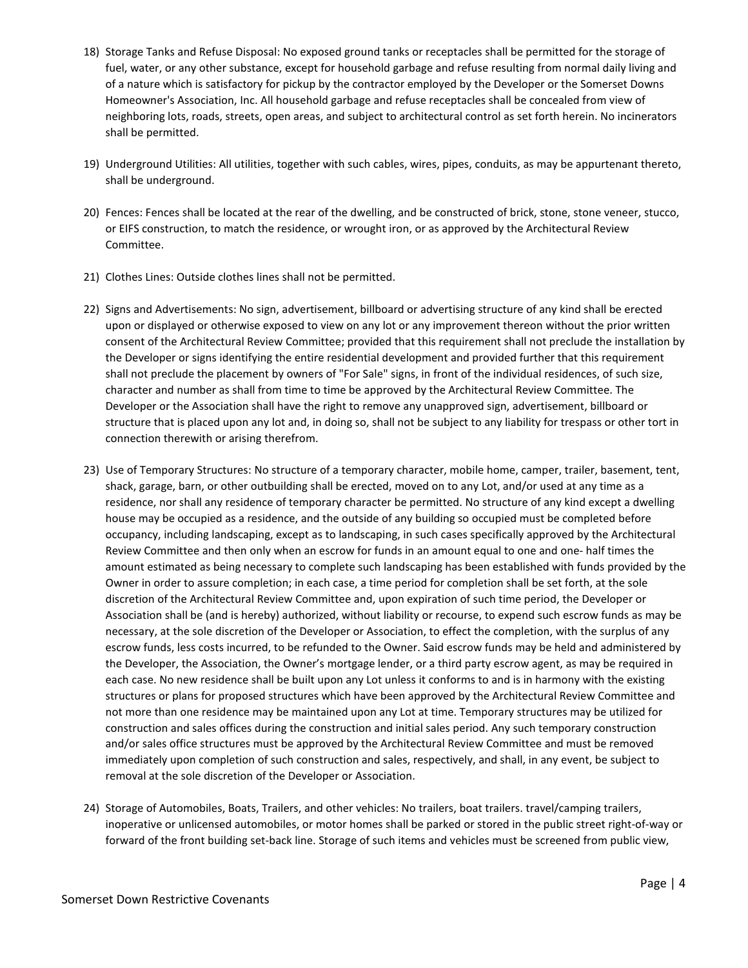- 18) Storage Tanks and Refuse Disposal: No exposed ground tanks or receptacles shall be permitted for the storage of fuel, water, or any other substance, except for household garbage and refuse resulting from normal daily living and of a nature which is satisfactory for pickup by the contractor employed by the Developer or the Somerset Downs Homeowner's Association, Inc. All household garbage and refuse receptacles shall be concealed from view of neighboring lots, roads, streets, open areas, and subject to architectural control as set forth herein. No incinerators shall be permitted.
- 19) Underground Utilities: All utilities, together with such cables, wires, pipes, conduits, as may be appurtenant thereto, shall be underground.
- 20) Fences: Fences shall be located at the rear of the dwelling, and be constructed of brick, stone, stone veneer, stucco, or EIFS construction, to match the residence, or wrought iron, or as approved by the Architectural Review Committee.
- 21) Clothes Lines: Outside clothes lines shall not be permitted.
- 22) Signs and Advertisements: No sign, advertisement, billboard or advertising structure of any kind shall be erected upon or displayed or otherwise exposed to view on any lot or any improvement thereon without the prior written consent of the Architectural Review Committee; provided that this requirement shall not preclude the installation by the Developer or signs identifying the entire residential development and provided further that this requirement shall not preclude the placement by owners of "For Sale" signs, in front of the individual residences, of such size, character and number as shall from time to time be approved by the Architectural Review Committee. The Developer or the Association shall have the right to remove any unapproved sign, advertisement, billboard or structure that is placed upon any lot and, in doing so, shall not be subject to any liability for trespass or other tort in connection therewith or arising therefrom.
- 23) Use of Temporary Structures: No structure of a temporary character, mobile home, camper, trailer, basement, tent, shack, garage, barn, or other outbuilding shall be erected, moved on to any Lot, and/or used at any time as a residence, nor shall any residence of temporary character be permitted. No structure of any kind except a dwelling house may be occupied as a residence, and the outside of any building so occupied must be completed before occupancy, including landscaping, except as to landscaping, in such cases specifically approved by the Architectural Review Committee and then only when an escrow for funds in an amount equal to one and one- half times the amount estimated as being necessary to complete such landscaping has been established with funds provided by the Owner in order to assure completion; in each case, a time period for completion shall be set forth, at the sole discretion of the Architectural Review Committee and, upon expiration of such time period, the Developer or Association shall be (and is hereby) authorized, without liability or recourse, to expend such escrow funds as may be necessary, at the sole discretion of the Developer or Association, to effect the completion, with the surplus of any escrow funds, less costs incurred, to be refunded to the Owner. Said escrow funds may be held and administered by the Developer, the Association, the Owner's mortgage lender, or a third party escrow agent, as may be required in each case. No new residence shall be built upon any Lot unless it conforms to and is in harmony with the existing structures or plans for proposed structures which have been approved by the Architectural Review Committee and not more than one residence may be maintained upon any Lot at time. Temporary structures may be utilized for construction and sales offices during the construction and initial sales period. Any such temporary construction and/or sales office structures must be approved by the Architectural Review Committee and must be removed immediately upon completion of such construction and sales, respectively, and shall, in any event, be subject to removal at the sole discretion of the Developer or Association.
- 24) Storage of Automobiles, Boats, Trailers, and other vehicles: No trailers, boat trailers. travel/camping trailers, inoperative or unlicensed automobiles, or motor homes shall be parked or stored in the public street right-of-way or forward of the front building set-back line. Storage of such items and vehicles must be screened from public view,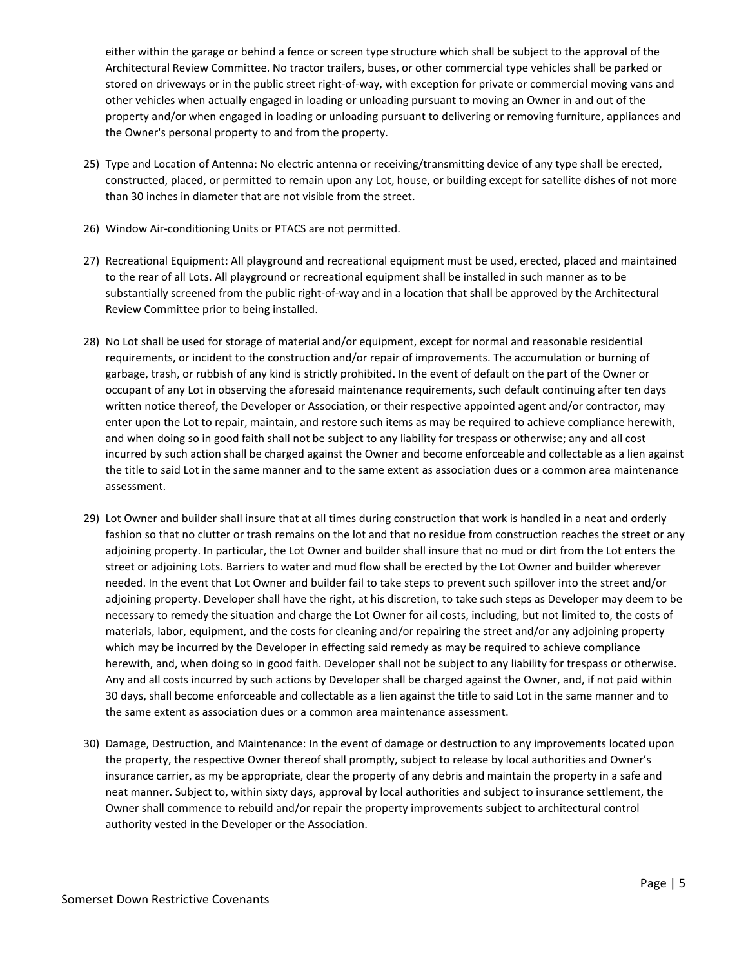either within the garage or behind a fence or screen type structure which shall be subject to the approval of the Architectural Review Committee. No tractor trailers, buses, or other commercial type vehicles shall be parked or stored on driveways or in the public street right-of-way, with exception for private or commercial moving vans and other vehicles when actually engaged in loading or unloading pursuant to moving an Owner in and out of the property and/or when engaged in loading or unloading pursuant to delivering or removing furniture, appliances and the Owner's personal property to and from the property.

- 25) Type and Location of Antenna: No electric antenna or receiving/transmitting device of any type shall be erected, constructed, placed, or permitted to remain upon any Lot, house, or building except for satellite dishes of not more than 30 inches in diameter that are not visible from the street.
- 26) Window Air-conditioning Units or PTACS are not permitted.
- 27) Recreational Equipment: All playground and recreational equipment must be used, erected, placed and maintained to the rear of all Lots. All playground or recreational equipment shall be installed in such manner as to be substantially screened from the public right-of-way and in a location that shall be approved by the Architectural Review Committee prior to being installed.
- 28) No Lot shall be used for storage of material and/or equipment, except for normal and reasonable residential requirements, or incident to the construction and/or repair of improvements. The accumulation or burning of garbage, trash, or rubbish of any kind is strictly prohibited. In the event of default on the part of the Owner or occupant of any Lot in observing the aforesaid maintenance requirements, such default continuing after ten days written notice thereof, the Developer or Association, or their respective appointed agent and/or contractor, may enter upon the Lot to repair, maintain, and restore such items as may be required to achieve compliance herewith, and when doing so in good faith shall not be subject to any liability for trespass or otherwise; any and all cost incurred by such action shall be charged against the Owner and become enforceable and collectable as a lien against the title to said Lot in the same manner and to the same extent as association dues or a common area maintenance assessment.
- 29) Lot Owner and builder shall insure that at all times during construction that work is handled in a neat and orderly fashion so that no clutter or trash remains on the lot and that no residue from construction reaches the street or any adjoining property. In particular, the Lot Owner and builder shall insure that no mud or dirt from the Lot enters the street or adjoining Lots. Barriers to water and mud flow shall be erected by the Lot Owner and builder wherever needed. In the event that Lot Owner and builder fail to take steps to prevent such spillover into the street and/or adjoining property. Developer shall have the right, at his discretion, to take such steps as Developer may deem to be necessary to remedy the situation and charge the Lot Owner for ail costs, including, but not limited to, the costs of materials, labor, equipment, and the costs for cleaning and/or repairing the street and/or any adjoining property which may be incurred by the Developer in effecting said remedy as may be required to achieve compliance herewith, and, when doing so in good faith. Developer shall not be subject to any liability for trespass or otherwise. Any and all costs incurred by such actions by Developer shall be charged against the Owner, and, if not paid within 30 days, shall become enforceable and collectable as a lien against the title to said Lot in the same manner and to the same extent as association dues or a common area maintenance assessment.
- 30) Damage, Destruction, and Maintenance: In the event of damage or destruction to any improvements located upon the property, the respective Owner thereof shall promptly, subject to release by local authorities and Owner's insurance carrier, as my be appropriate, clear the property of any debris and maintain the property in a safe and neat manner. Subject to, within sixty days, approval by local authorities and subject to insurance settlement, the Owner shall commence to rebuild and/or repair the property improvements subject to architectural control authority vested in the Developer or the Association.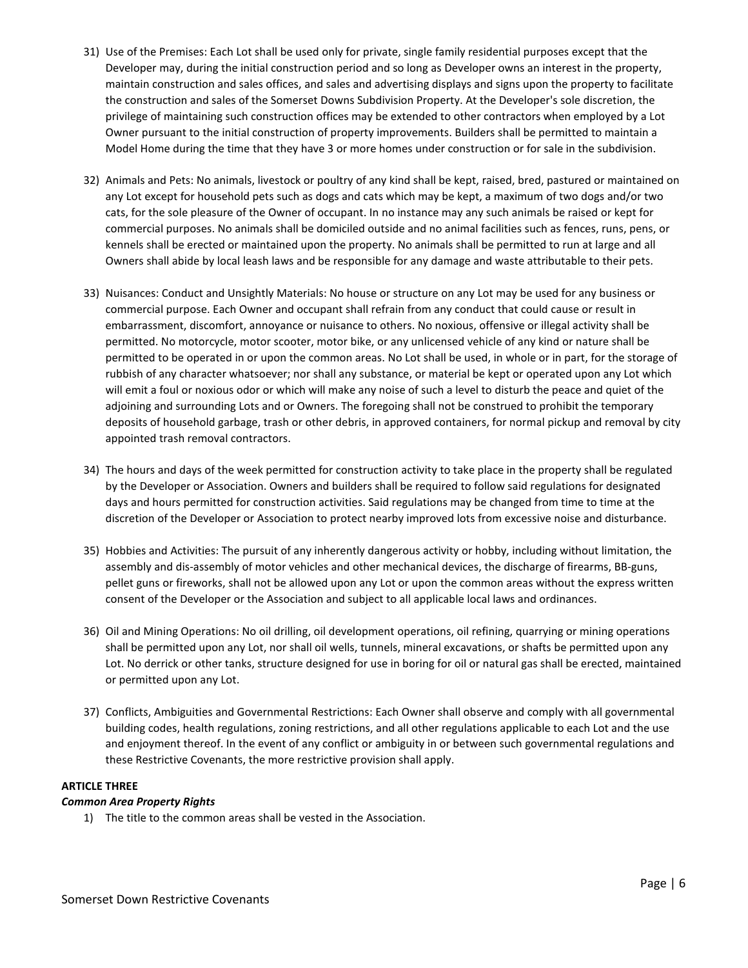- 31) Use of the Premises: Each Lot shall be used only for private, single family residential purposes except that the Developer may, during the initial construction period and so long as Developer owns an interest in the property, maintain construction and sales offices, and sales and advertising displays and signs upon the property to facilitate the construction and sales of the Somerset Downs Subdivision Property. At the Developer's sole discretion, the privilege of maintaining such construction offices may be extended to other contractors when employed by a Lot Owner pursuant to the initial construction of property improvements. Builders shall be permitted to maintain a Model Home during the time that they have 3 or more homes under construction or for sale in the subdivision.
- 32) Animals and Pets: No animals, livestock or poultry of any kind shall be kept, raised, bred, pastured or maintained on any Lot except for household pets such as dogs and cats which may be kept, a maximum of two dogs and/or two cats, for the sole pleasure of the Owner of occupant. In no instance may any such animals be raised or kept for commercial purposes. No animals shall be domiciled outside and no animal facilities such as fences, runs, pens, or kennels shall be erected or maintained upon the property. No animals shall be permitted to run at large and all Owners shall abide by local leash laws and be responsible for any damage and waste attributable to their pets.
- 33) Nuisances: Conduct and Unsightly Materials: No house or structure on any Lot may be used for any business or commercial purpose. Each Owner and occupant shall refrain from any conduct that could cause or result in embarrassment, discomfort, annoyance or nuisance to others. No noxious, offensive or illegal activity shall be permitted. No motorcycle, motor scooter, motor bike, or any unlicensed vehicle of any kind or nature shall be permitted to be operated in or upon the common areas. No Lot shall be used, in whole or in part, for the storage of rubbish of any character whatsoever; nor shall any substance, or material be kept or operated upon any Lot which will emit a foul or noxious odor or which will make any noise of such a level to disturb the peace and quiet of the adjoining and surrounding Lots and or Owners. The foregoing shall not be construed to prohibit the temporary deposits of household garbage, trash or other debris, in approved containers, for normal pickup and removal by city appointed trash removal contractors.
- 34) The hours and days of the week permitted for construction activity to take place in the property shall be regulated by the Developer or Association. Owners and builders shall be required to follow said regulations for designated days and hours permitted for construction activities. Said regulations may be changed from time to time at the discretion of the Developer or Association to protect nearby improved lots from excessive noise and disturbance.
- 35) Hobbies and Activities: The pursuit of any inherently dangerous activity or hobby, including without limitation, the assembly and dis-assembly of motor vehicles and other mechanical devices, the discharge of firearms, BB-guns, pellet guns or fireworks, shall not be allowed upon any Lot or upon the common areas without the express written consent of the Developer or the Association and subject to all applicable local laws and ordinances.
- 36) Oil and Mining Operations: No oil drilling, oil development operations, oil refining, quarrying or mining operations shall be permitted upon any Lot, nor shall oil wells, tunnels, mineral excavations, or shafts be permitted upon any Lot. No derrick or other tanks, structure designed for use in boring for oil or natural gas shall be erected, maintained or permitted upon any Lot.
- 37) Conflicts, Ambiguities and Governmental Restrictions: Each Owner shall observe and comply with all governmental building codes, health regulations, zoning restrictions, and all other regulations applicable to each Lot and the use and enjoyment thereof. In the event of any conflict or ambiguity in or between such governmental regulations and these Restrictive Covenants, the more restrictive provision shall apply.

# **ARTICLE THREE**

# *Common Area Property Rights*

1) The title to the common areas shall be vested in the Association.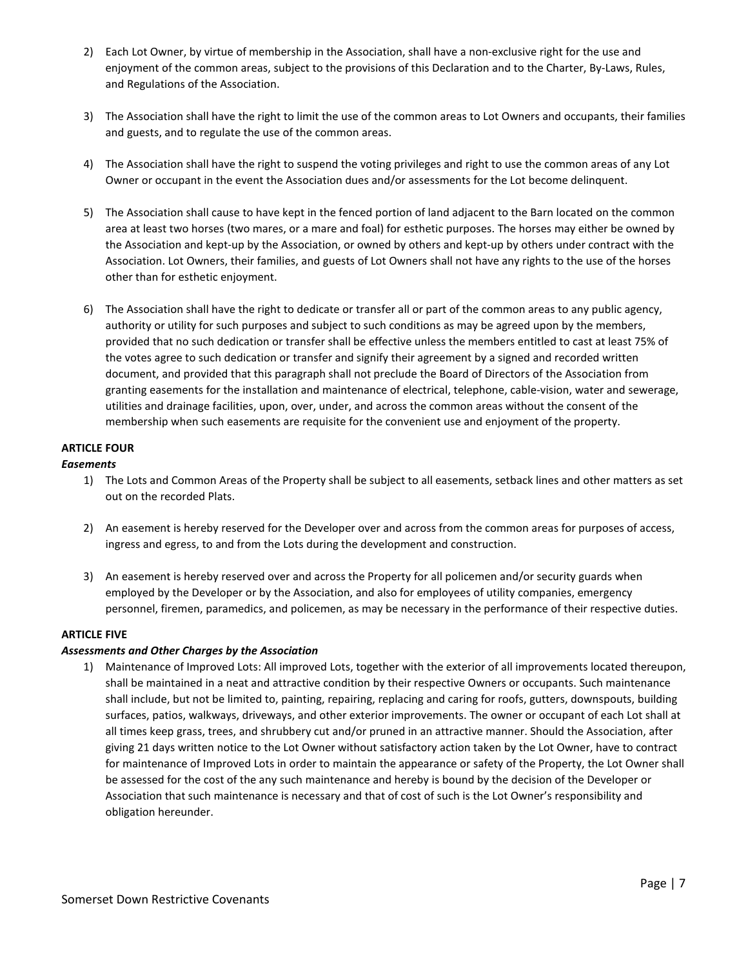- 2) Each Lot Owner, by virtue of membership in the Association, shall have a non-exclusive right for the use and enjoyment of the common areas, subject to the provisions of this Declaration and to the Charter, By-Laws, Rules, and Regulations of the Association.
- 3) The Association shall have the right to limit the use of the common areas to Lot Owners and occupants, their families and guests, and to regulate the use of the common areas.
- 4) The Association shall have the right to suspend the voting privileges and right to use the common areas of any Lot Owner or occupant in the event the Association dues and/or assessments for the Lot become delinquent.
- 5) The Association shall cause to have kept in the fenced portion of land adjacent to the Barn located on the common area at least two horses (two mares, or a mare and foal) for esthetic purposes. The horses may either be owned by the Association and kept-up by the Association, or owned by others and kept-up by others under contract with the Association. Lot Owners, their families, and guests of Lot Owners shall not have any rights to the use of the horses other than for esthetic enjoyment.
- 6) The Association shall have the right to dedicate or transfer all or part of the common areas to any public agency, authority or utility for such purposes and subject to such conditions as may be agreed upon by the members, provided that no such dedication or transfer shall be effective unless the members entitled to cast at least 75% of the votes agree to such dedication or transfer and signify their agreement by a signed and recorded written document, and provided that this paragraph shall not preclude the Board of Directors of the Association from granting easements for the installation and maintenance of electrical, telephone, cable-vision, water and sewerage, utilities and drainage facilities, upon, over, under, and across the common areas without the consent of the membership when such easements are requisite for the convenient use and enjoyment of the property.

# **ARTICLE FOUR**

# *Easements*

- 1) The Lots and Common Areas of the Property shall be subject to all easements, setback lines and other matters as set out on the recorded Plats.
- 2) An easement is hereby reserved for the Developer over and across from the common areas for purposes of access, ingress and egress, to and from the Lots during the development and construction.
- 3) An easement is hereby reserved over and across the Property for all policemen and/or security guards when employed by the Developer or by the Association, and also for employees of utility companies, emergency personnel, firemen, paramedics, and policemen, as may be necessary in the performance of their respective duties.

# **ARTICLE FIVE**

# *Assessments and Other Charges by the Association*

1) Maintenance of Improved Lots: All improved Lots, together with the exterior of all improvements located thereupon, shall be maintained in a neat and attractive condition by their respective Owners or occupants. Such maintenance shall include, but not be limited to, painting, repairing, replacing and caring for roofs, gutters, downspouts, building surfaces, patios, walkways, driveways, and other exterior improvements. The owner or occupant of each Lot shall at all times keep grass, trees, and shrubbery cut and/or pruned in an attractive manner. Should the Association, after giving 21 days written notice to the Lot Owner without satisfactory action taken by the Lot Owner, have to contract for maintenance of Improved Lots in order to maintain the appearance or safety of the Property, the Lot Owner shall be assessed for the cost of the any such maintenance and hereby is bound by the decision of the Developer or Association that such maintenance is necessary and that of cost of such is the Lot Owner's responsibility and obligation hereunder.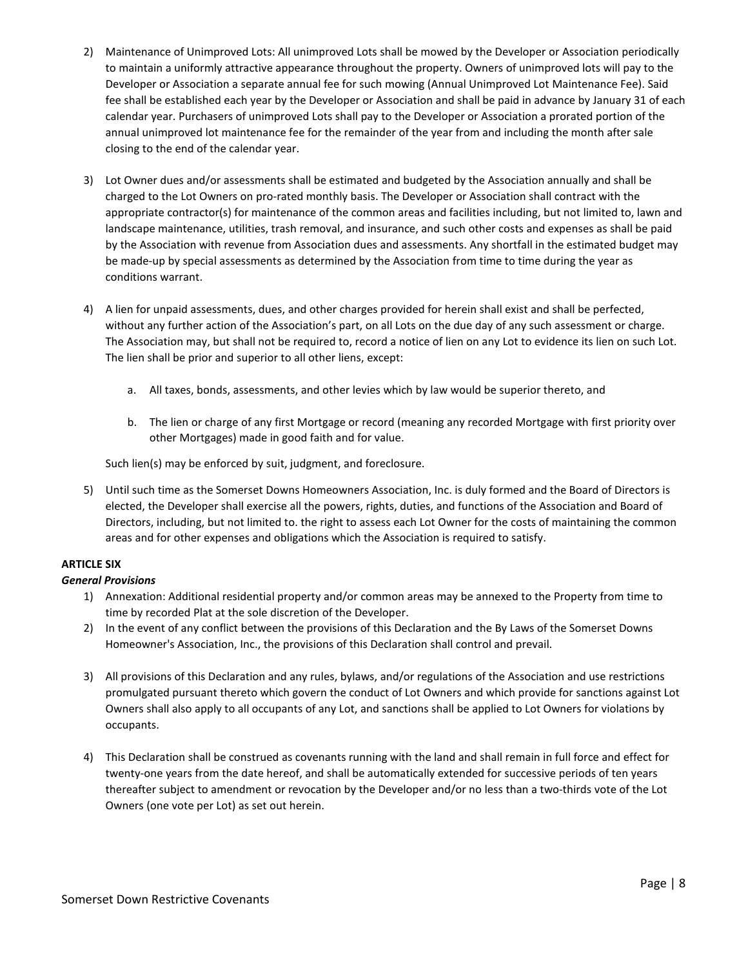- 2) Maintenance of Unimproved Lots: All unimproved Lots shall be mowed by the Developer or Association periodically to maintain a uniformly attractive appearance throughout the property. Owners of unimproved lots will pay to the Developer or Association a separate annual fee for such mowing (Annual Unimproved Lot Maintenance Fee). Said fee shall be established each year by the Developer or Association and shall be paid in advance by January 31 of each calendar year. Purchasers of unimproved Lots shall pay to the Developer or Association a prorated portion of the annual unimproved lot maintenance fee for the remainder of the year from and including the month after sale closing to the end of the calendar year.
- 3) Lot Owner dues and/or assessments shall be estimated and budgeted by the Association annually and shall be charged to the Lot Owners on pro-rated monthly basis. The Developer or Association shall contract with the appropriate contractor(s) for maintenance of the common areas and facilities including, but not limited to, lawn and landscape maintenance, utilities, trash removal, and insurance, and such other costs and expenses as shall be paid by the Association with revenue from Association dues and assessments. Any shortfall in the estimated budget may be made-up by special assessments as determined by the Association from time to time during the year as conditions warrant.
- 4) A lien for unpaid assessments, dues, and other charges provided for herein shall exist and shall be perfected, without any further action of the Association's part, on all Lots on the due day of any such assessment or charge. The Association may, but shall not be required to, record a notice of lien on any Lot to evidence its lien on such Lot. The lien shall be prior and superior to all other liens, except:
	- a. All taxes, bonds, assessments, and other levies which by law would be superior thereto, and
	- b. The lien or charge of any first Mortgage or record (meaning any recorded Mortgage with first priority over other Mortgages) made in good faith and for value.

Such lien(s) may be enforced by suit, judgment, and foreclosure.

5) Until such time as the Somerset Downs Homeowners Association, Inc. is duly formed and the Board of Directors is elected, the Developer shall exercise all the powers, rights, duties, and functions of the Association and Board of Directors, including, but not limited to. the right to assess each Lot Owner for the costs of maintaining the common areas and for other expenses and obligations which the Association is required to satisfy.

# **ARTICLE SIX**

# *General Provisions*

- 1) Annexation: Additional residential property and/or common areas may be annexed to the Property from time to time by recorded Plat at the sole discretion of the Developer.
- 2) In the event of any conflict between the provisions of this Declaration and the By Laws of the Somerset Downs Homeowner's Association, Inc., the provisions of this Declaration shall control and prevail.
- 3) All provisions of this Declaration and any rules, bylaws, and/or regulations of the Association and use restrictions promulgated pursuant thereto which govern the conduct of Lot Owners and which provide for sanctions against Lot Owners shall also apply to all occupants of any Lot, and sanctions shall be applied to Lot Owners for violations by occupants.
- 4) This Declaration shall be construed as covenants running with the land and shall remain in full force and effect for twenty-one years from the date hereof, and shall be automatically extended for successive periods of ten years thereafter subject to amendment or revocation by the Developer and/or no less than a two-thirds vote of the Lot Owners (one vote per Lot) as set out herein.